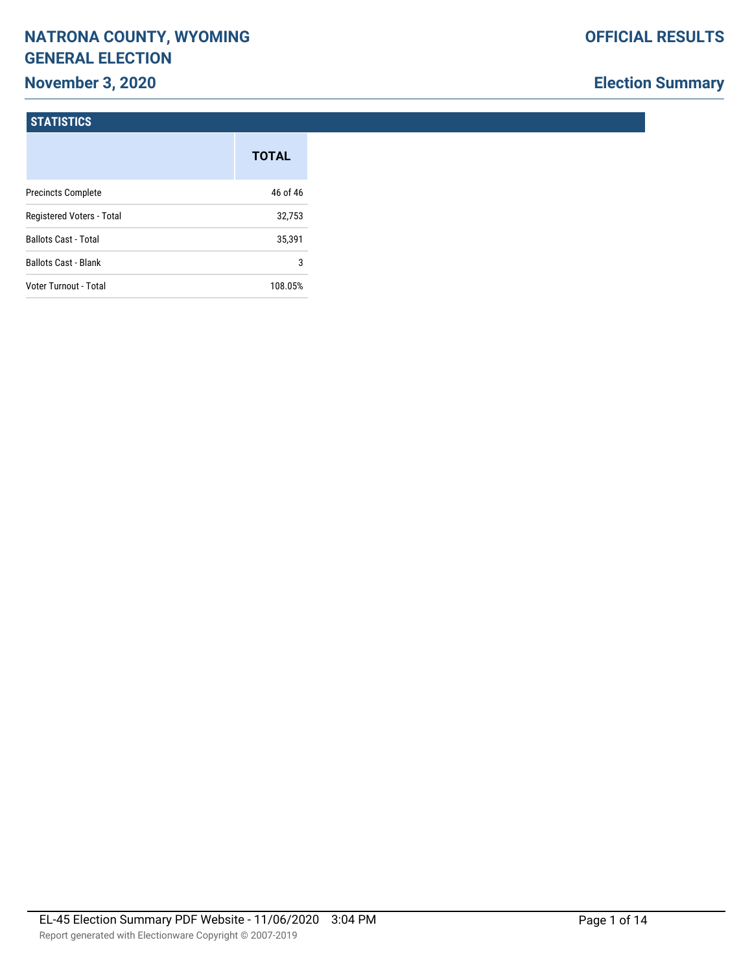# **NATRONA COUNTY, WYOMING GENERAL ELECTION**

## **November 3, 2020**

## **Election Summary**

#### **STATISTICS**

|                             | <b>TOTAL</b> |
|-----------------------------|--------------|
| <b>Precincts Complete</b>   | 46 of 46     |
| Registered Voters - Total   | 32,753       |
| <b>Ballots Cast - Total</b> | 35,391       |
| <b>Ballots Cast - Blank</b> | 3            |
| Voter Turnout - Total       | 108.05%      |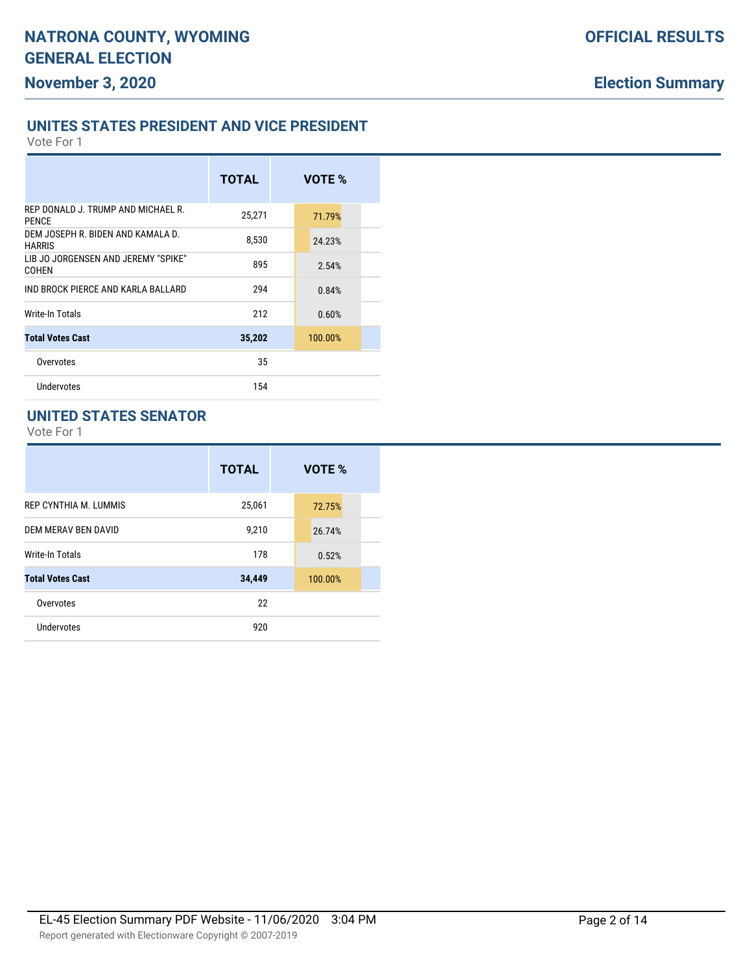#### **OFFICIAL RESULTS**

## **Election Summary**

#### **UNITES STATES PRESIDENT AND VICE PRESIDENT**

Vote For 1

|                                                    | <b>TOTAL</b> | VOTE %  |  |
|----------------------------------------------------|--------------|---------|--|
| REP DONALD J. TRUMP AND MICHAEL R.<br><b>PFNCF</b> | 25,271       | 71.79%  |  |
| DEM JOSEPH R. BIDEN AND KAMALA D.<br><b>HARRIS</b> | 8,530        | 24.23%  |  |
| LIB JO JORGENSEN AND JEREMY "SPIKE"<br>COHEN       | 895          | 2.54%   |  |
| IND BROCK PIERCE AND KARLA BALLARD                 | 294          | 0.84%   |  |
| <b>Write-In Totals</b>                             | 212          | 0.60%   |  |
| <b>Total Votes Cast</b>                            | 35,202       | 100.00% |  |
| Overvotes                                          | 35           |         |  |
| Undervotes                                         | 154          |         |  |
|                                                    |              |         |  |

#### **UNITED STATES SENATOR**

|                         | <b>TOTAL</b> | VOTE %  |
|-------------------------|--------------|---------|
| REP CYNTHIA M. LUMMIS   | 25,061       | 72.75%  |
| DEM MERAV BEN DAVID     | 9,210        | 26.74%  |
| Write-In Totals         | 178          | 0.52%   |
| <b>Total Votes Cast</b> | 34,449       | 100.00% |
| Overvotes               | 22           |         |
| Undervotes              | 920          |         |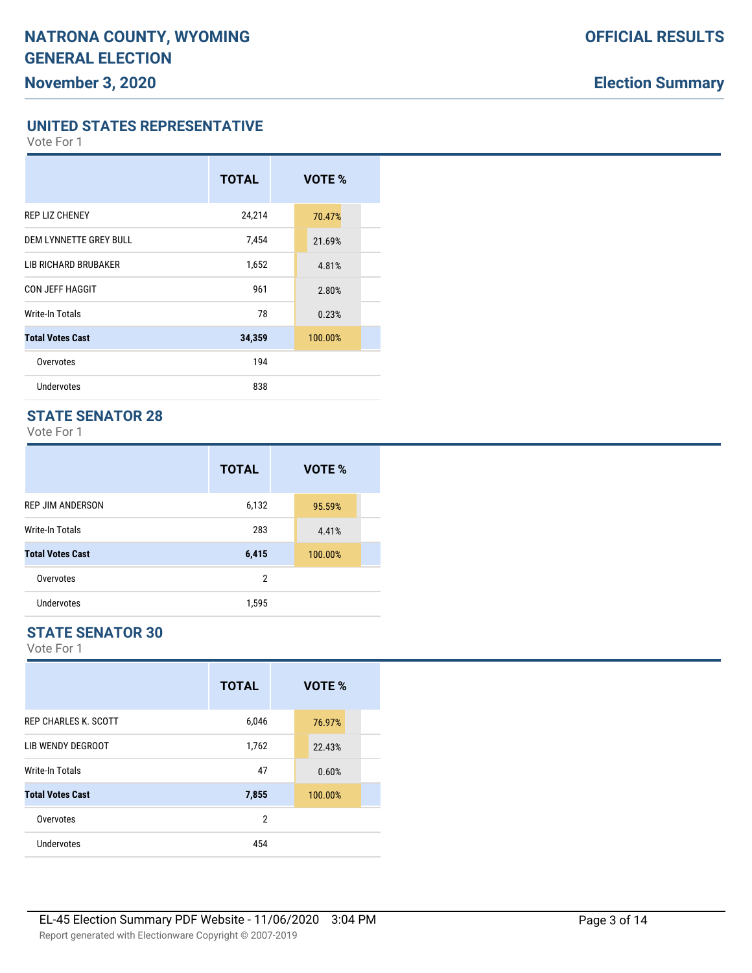**UNITED STATES REPRESENTATIVE**

Vote For 1

# **TOTAL VOTE %** REP LIZ CHENEY 24,214 70.47% DEM LYNNETTE GREY BULL 7,454 21.69% LIB RICHARD BRUBAKER 1,652 4.81% CON JEFF HAGGIT 2.80% Write-In Totals 23% and 23% and 23% and 23% and 23% and 23% and 23% and 23% and 23% and 23% and 23% and 23% and 23% and 23% and 23% and 23% and 23% and 23% and 23% and 23% and 23% and 23% and 23% and 23% and 23% and 23% an **Total Votes Cast 34,359** 100.00% Overvotes and the contract of the contract of the contract of the contract of the contract of the contract of the contract of the contract of the contract of the contract of the contract of the contract of the contract of Undervotes 838

#### **STATE SENATOR 28**

Vote For 1

|                         | <b>TOTAL</b>   | VOTE %  |
|-------------------------|----------------|---------|
| <b>REP JIM ANDERSON</b> | 6,132          | 95.59%  |
| Write-In Totals         | 283            | 4.41%   |
| <b>Total Votes Cast</b> | 6,415          | 100.00% |
| Overvotes               | $\overline{2}$ |         |
| Undervotes              | 1,595          |         |

#### **STATE SENATOR 30**

|                             | <b>TOTAL</b> | VOTE %  |
|-----------------------------|--------------|---------|
| <b>REP CHARLES K. SCOTT</b> | 6,046        | 76.97%  |
| LIB WENDY DEGROOT           | 1,762        | 22.43%  |
| Write-In Totals             | 47           | 0.60%   |
| <b>Total Votes Cast</b>     | 7,855        | 100.00% |
| Overvotes                   | 2            |         |
| Undervotes                  | 454          |         |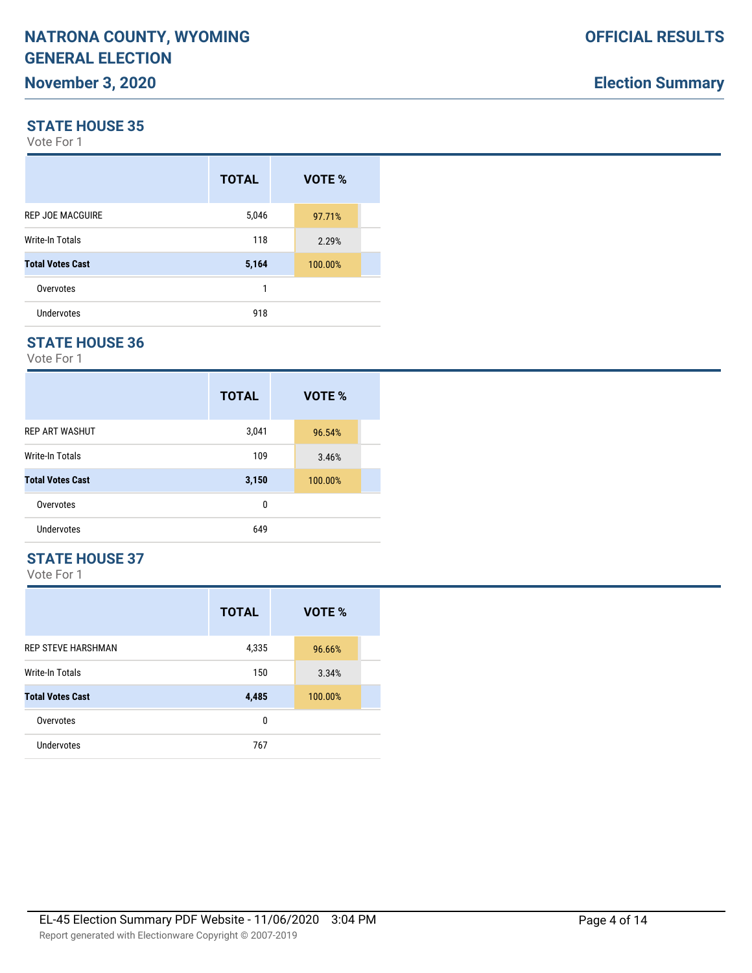#### **STATE HOUSE 35**

Vote For 1

|                         | <b>TOTAL</b> | VOTE %  |  |
|-------------------------|--------------|---------|--|
| <b>REP JOE MACGUIRE</b> | 5,046        | 97.71%  |  |
| Write-In Totals         | 118          | 2.29%   |  |
| <b>Total Votes Cast</b> | 5,164        | 100.00% |  |
| Overvotes               | 1            |         |  |
| Undervotes              | 918          |         |  |

#### **STATE HOUSE 36**

Vote For 1

|                         | <b>TOTAL</b> | VOTE %  |
|-------------------------|--------------|---------|
| <b>REP ART WASHUT</b>   | 3,041        | 96.54%  |
| Write-In Totals         | 109          | 3.46%   |
| <b>Total Votes Cast</b> | 3,150        | 100.00% |
| Overvotes               | 0            |         |
| <b>Undervotes</b>       | 649          |         |

#### **STATE HOUSE 37**

|                           | <b>TOTAL</b> | VOTE %  |
|---------------------------|--------------|---------|
| <b>REP STEVE HARSHMAN</b> | 4,335        | 96.66%  |
| <b>Write-In Totals</b>    | 150          | 3.34%   |
| <b>Total Votes Cast</b>   | 4,485        | 100.00% |
| Overvotes                 | 0            |         |
| Undervotes                | 767          |         |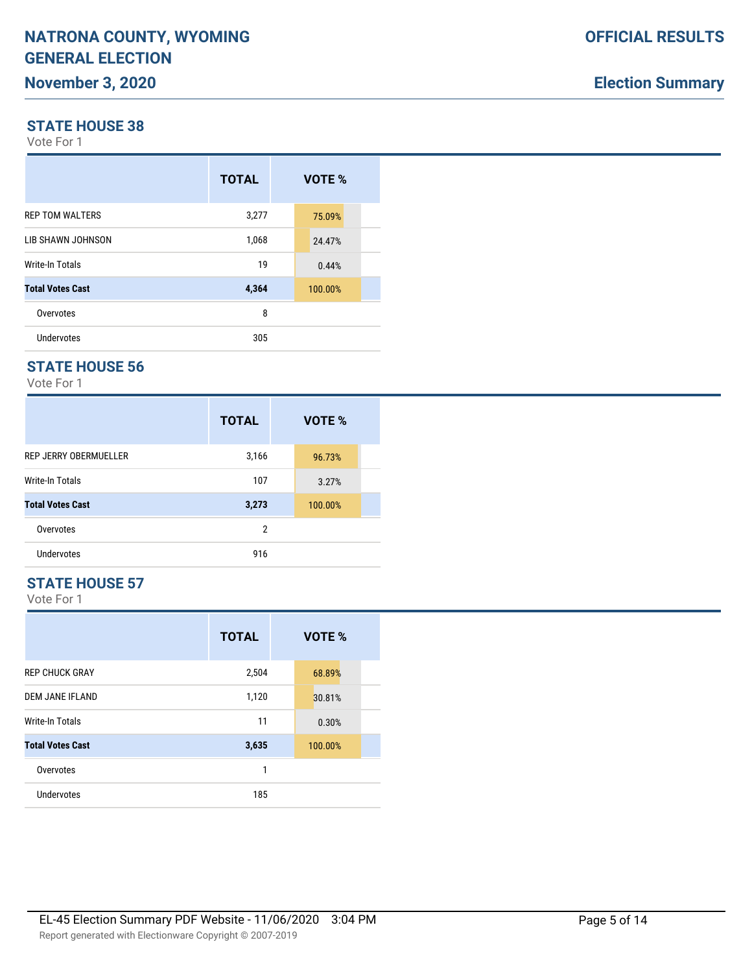#### **STATE HOUSE 38**

Vote For 1

|                         | <b>TOTAL</b> | VOTE %  |
|-------------------------|--------------|---------|
| <b>REP TOM WALTERS</b>  | 3,277        | 75.09%  |
| LIB SHAWN JOHNSON       | 1,068        | 24.47%  |
| Write-In Totals         | 19           | 0.44%   |
| <b>Total Votes Cast</b> | 4,364        | 100.00% |
| Overvotes               | 8            |         |
| <b>Undervotes</b>       | 305          |         |

## **STATE HOUSE 56**

Vote For 1

|                         | <b>TOTAL</b> | VOTE %  |  |
|-------------------------|--------------|---------|--|
| REP JERRY OBERMUELLER   | 3,166        | 96.73%  |  |
| <b>Write-In Totals</b>  | 107          | 3.27%   |  |
| <b>Total Votes Cast</b> | 3,273        | 100.00% |  |
| Overvotes               | 2            |         |  |
| <b>Undervotes</b>       | 916          |         |  |

#### **STATE HOUSE 57**

|                         | <b>TOTAL</b> | VOTE %  |
|-------------------------|--------------|---------|
| <b>REP CHUCK GRAY</b>   | 2,504        | 68.89%  |
| <b>DEM JANE IFLAND</b>  | 1,120        | 30.81%  |
| Write-In Totals         | 11           | 0.30%   |
| <b>Total Votes Cast</b> | 3,635        | 100.00% |
| Overvotes               | 1            |         |
| <b>Undervotes</b>       | 185          |         |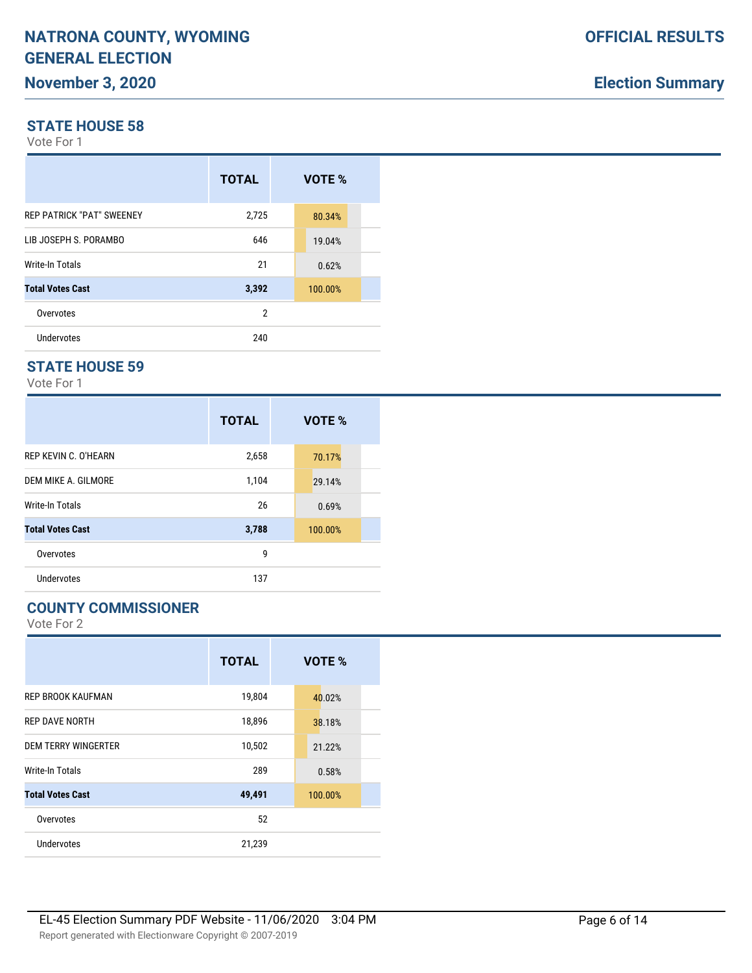#### **STATE HOUSE 58**

Vote For 1

|                                  | <b>TOTAL</b> | VOTE %  |
|----------------------------------|--------------|---------|
| <b>REP PATRICK "PAT" SWEENEY</b> | 2,725        | 80.34%  |
| LIB JOSEPH S. PORAMBO            | 646          | 19.04%  |
| Write-In Totals                  | 21           | 0.62%   |
| <b>Total Votes Cast</b>          | 3,392        | 100.00% |
| Overvotes                        | 2            |         |
| Undervotes                       | 240          |         |

#### **STATE HOUSE 59**

Vote For 1

|                         | <b>TOTAL</b> | VOTE %  |
|-------------------------|--------------|---------|
| REP KEVIN C. O'HEARN    | 2,658        | 70.17%  |
| DEM MIKE A. GILMORE     | 1,104        | 29.14%  |
| <b>Write-In Totals</b>  | 26           | 0.69%   |
| <b>Total Votes Cast</b> | 3,788        | 100.00% |
| Overvotes               | 9            |         |
| Undervotes              | 137          |         |

#### **COUNTY COMMISSIONER**

|                            | <b>TOTAL</b> | VOTE %  |
|----------------------------|--------------|---------|
| <b>REP BROOK KAUFMAN</b>   | 19,804       | 40.02%  |
| <b>REP DAVE NORTH</b>      | 18,896       | 38.18%  |
| <b>DEM TERRY WINGERTER</b> | 10,502       | 21.22%  |
| Write-In Totals            | 289          | 0.58%   |
| <b>Total Votes Cast</b>    | 49,491       | 100.00% |
| Overvotes                  | 52           |         |
| Undervotes                 | 21,239       |         |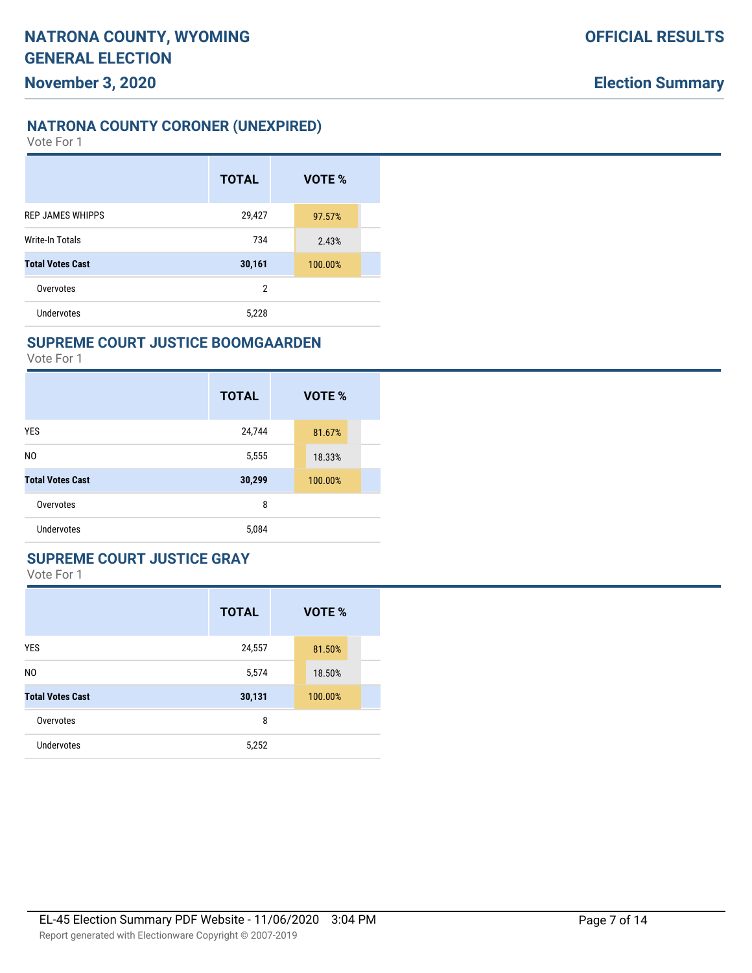### **NATRONA COUNTY CORONER (UNEXPIRED)**

Vote For 1

|                         | <b>TOTAL</b>   | VOTE %  |  |
|-------------------------|----------------|---------|--|
| <b>REP JAMES WHIPPS</b> | 29,427         | 97.57%  |  |
| Write-In Totals         | 734            | 2.43%   |  |
| <b>Total Votes Cast</b> | 30,161         | 100.00% |  |
| Overvotes               | $\overline{2}$ |         |  |
| Undervotes              | 5,228          |         |  |

#### **SUPREME COURT JUSTICE BOOMGAARDEN**

Vote For 1

|                         | <b>TOTAL</b> | VOTE %  |
|-------------------------|--------------|---------|
| <b>YES</b>              | 24,744       | 81.67%  |
| N <sub>0</sub>          | 5,555        | 18.33%  |
| <b>Total Votes Cast</b> | 30,299       | 100.00% |
| Overvotes               | 8            |         |
| <b>Undervotes</b>       | 5,084        |         |

#### **SUPREME COURT JUSTICE GRAY**

|                         | <b>TOTAL</b> | <b>VOTE %</b> |
|-------------------------|--------------|---------------|
| <b>YES</b>              | 24,557       | 81.50%        |
| N <sub>0</sub>          | 5,574        | 18.50%        |
| <b>Total Votes Cast</b> | 30,131       | 100.00%       |
| Overvotes               | 8            |               |
| <b>Undervotes</b>       | 5,252        |               |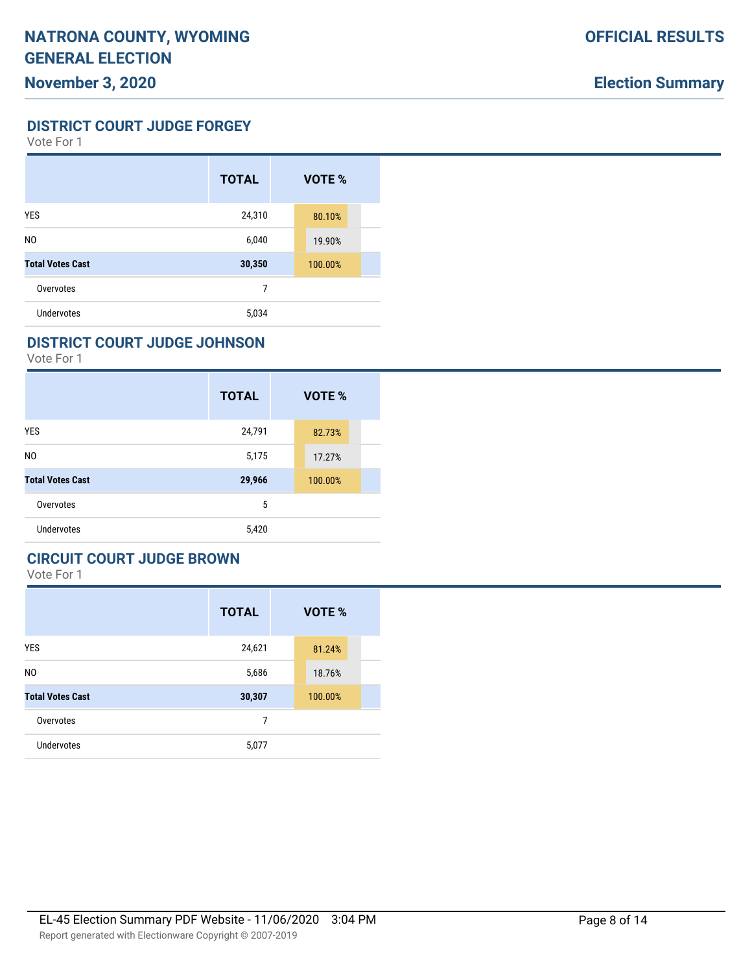**DISTRICT COURT JUDGE FORGEY**

Vote For 1

|                         | <b>TOTAL</b> | VOTE %  |
|-------------------------|--------------|---------|
| <b>YES</b>              | 24,310       | 80.10%  |
| N <sub>0</sub>          | 6,040        | 19.90%  |
| <b>Total Votes Cast</b> | 30,350       | 100.00% |
| Overvotes               | 7            |         |
| <b>Undervotes</b>       | 5,034        |         |

#### **DISTRICT COURT JUDGE JOHNSON**

Vote For 1

|                         | <b>TOTAL</b> | VOTE %  |
|-------------------------|--------------|---------|
| <b>YES</b>              | 24,791       | 82.73%  |
| N <sub>0</sub>          | 5,175        | 17.27%  |
| <b>Total Votes Cast</b> | 29,966       | 100.00% |
| Overvotes               | 5            |         |
| Undervotes              | 5,420        |         |

## **CIRCUIT COURT JUDGE BROWN**

|                         | <b>TOTAL</b> | VOTE %  |
|-------------------------|--------------|---------|
| <b>YES</b>              | 24,621       | 81.24%  |
| N <sub>0</sub>          | 5,686        | 18.76%  |
| <b>Total Votes Cast</b> | 30,307       | 100.00% |
| Overvotes               | 7            |         |
| <b>Undervotes</b>       | 5,077        |         |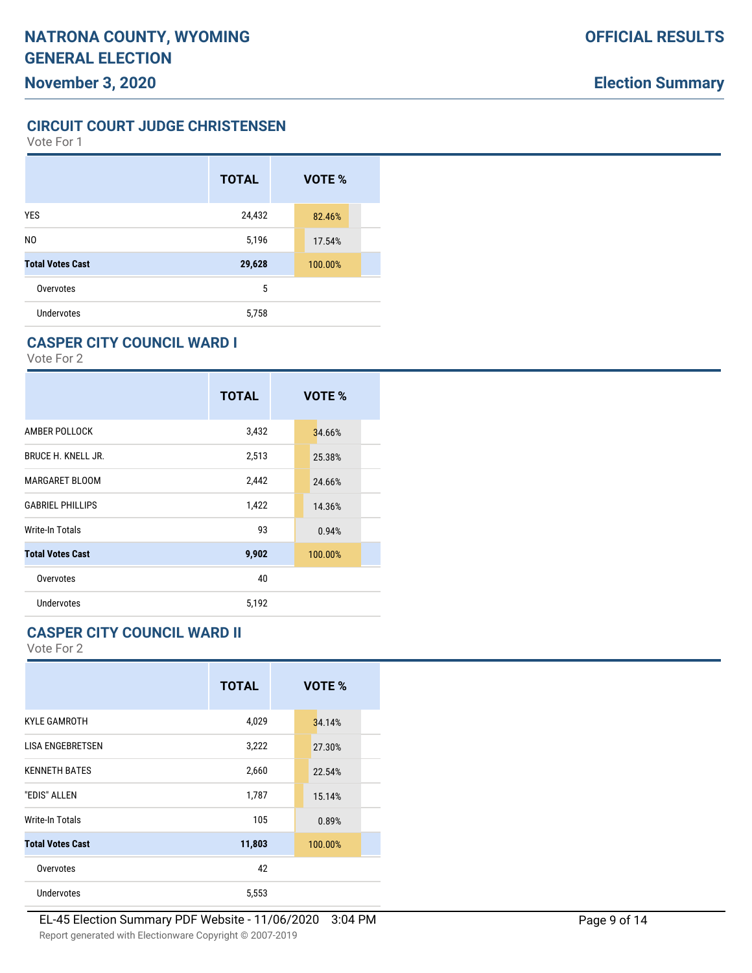**CIRCUIT COURT JUDGE CHRISTENSEN**

Vote For 1

|                         | <b>TOTAL</b> | VOTE %  |
|-------------------------|--------------|---------|
| <b>YES</b>              | 24,432       | 82.46%  |
| N <sub>0</sub>          | 5,196        | 17.54%  |
| <b>Total Votes Cast</b> | 29,628       | 100.00% |
| Overvotes               | 5            |         |
| <b>Undervotes</b>       | 5,758        |         |

#### **CASPER CITY COUNCIL WARD I**

Vote For 2

|                           | <b>TOTAL</b> | VOTE %  |
|---------------------------|--------------|---------|
| AMBER POLLOCK             | 3,432        | 34.66%  |
| <b>BRUCE H. KNELL JR.</b> | 2,513        | 25.38%  |
| <b>MARGARET BLOOM</b>     | 2,442        | 24.66%  |
| <b>GABRIEL PHILLIPS</b>   | 1,422        | 14.36%  |
| Write-In Totals           | 93           | 0.94%   |
| <b>Total Votes Cast</b>   | 9,902        | 100.00% |
| Overvotes                 | 40           |         |
| Undervotes                | 5,192        |         |

#### **CASPER CITY COUNCIL WARD II**

|                         | <b>TOTAL</b> | VOTE %  |
|-------------------------|--------------|---------|
| <b>KYLE GAMROTH</b>     | 4,029        | 34.14%  |
| <b>LISA ENGEBRETSEN</b> | 3,222        | 27.30%  |
| <b>KENNETH BATES</b>    | 2,660        | 22.54%  |
| "EDIS" ALLEN            | 1,787        | 15.14%  |
| Write-In Totals         | 105          | 0.89%   |
| <b>Total Votes Cast</b> | 11,803       | 100.00% |
| Overvotes               | 42           |         |
| Undervotes              | 5,553        |         |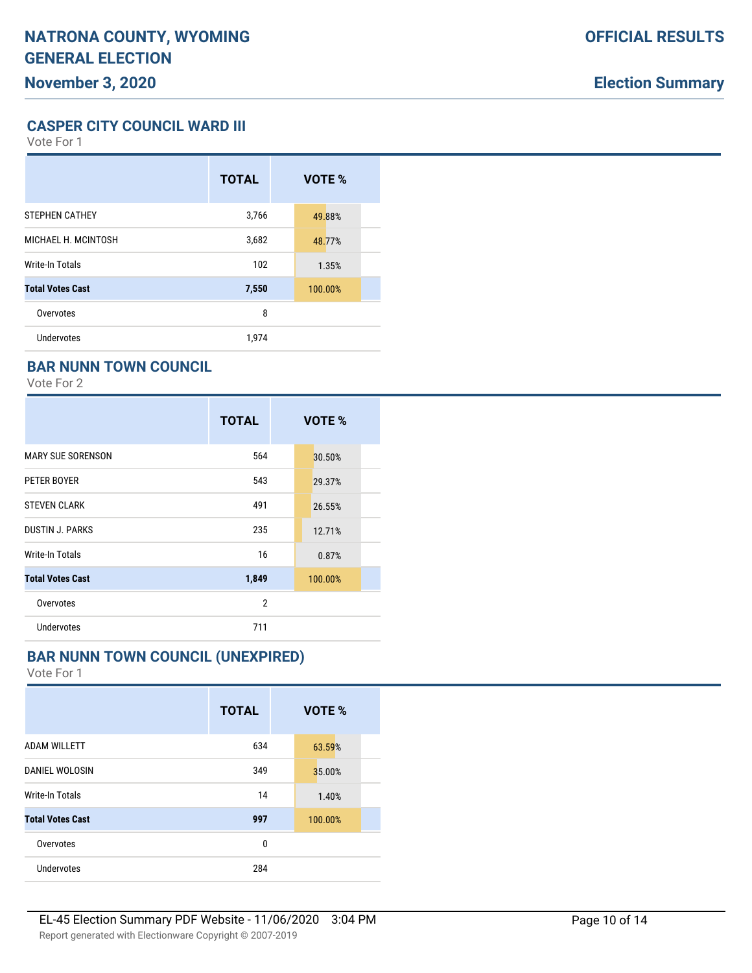**CASPER CITY COUNCIL WARD III**

Vote For 1

|                         | <b>TOTAL</b> | VOTE %  |  |
|-------------------------|--------------|---------|--|
| <b>STEPHEN CATHEY</b>   | 3,766        | 49.88%  |  |
| MICHAEL H. MCINTOSH     | 3,682        | 48.77%  |  |
| Write-In Totals         | 102          | 1.35%   |  |
| <b>Total Votes Cast</b> | 7,550        | 100.00% |  |
| Overvotes               | 8            |         |  |
| <b>Undervotes</b>       | 1,974        |         |  |

#### **BAR NUNN TOWN COUNCIL**

Vote For 2

|                          | <b>TOTAL</b>   | VOTE %  |
|--------------------------|----------------|---------|
| <b>MARY SUE SORENSON</b> | 564            | 30.50%  |
| PETER BOYER              | 543            | 29.37%  |
| <b>STEVEN CLARK</b>      | 491            | 26.55%  |
| <b>DUSTIN J. PARKS</b>   | 235            | 12.71%  |
| Write-In Totals          | 16             | 0.87%   |
| <b>Total Votes Cast</b>  | 1,849          | 100.00% |
| Overvotes                | $\overline{2}$ |         |
| Undervotes               | 711            |         |

#### **BAR NUNN TOWN COUNCIL (UNEXPIRED)**

|                         | <b>TOTAL</b> | VOTE %  |
|-------------------------|--------------|---------|
| <b>ADAM WILLETT</b>     | 634          | 63.59%  |
| DANIEL WOLOSIN          | 349          | 35.00%  |
| <b>Write-In Totals</b>  | 14           | 1.40%   |
| <b>Total Votes Cast</b> | 997          | 100.00% |
| Overvotes               | 0            |         |
| Undervotes              | 284          |         |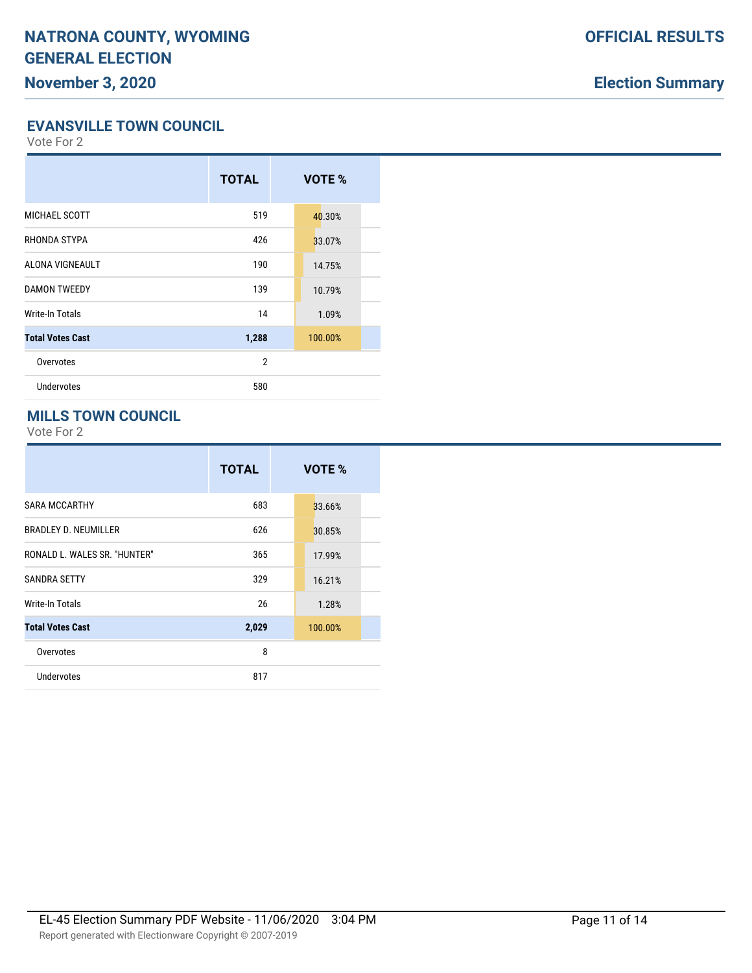#### **EVANSVILLE TOWN COUNCIL**

Vote For 2

|                         | <b>TOTAL</b>   | VOTE %  |  |
|-------------------------|----------------|---------|--|
| MICHAEL SCOTT           | 519            | 40.30%  |  |
| RHONDA STYPA            | 426            | 33.07%  |  |
| ALONA VIGNEAULT         | 190            | 14.75%  |  |
| <b>DAMON TWEEDY</b>     | 139            | 10.79%  |  |
| Write-In Totals         | 14             | 1.09%   |  |
| <b>Total Votes Cast</b> | 1,288          | 100.00% |  |
| Overvotes               | $\overline{2}$ |         |  |
| Undervotes              | 580            |         |  |
|                         |                |         |  |

#### **MILLS TOWN COUNCIL**

|                              | <b>TOTAL</b> | VOTE %  |
|------------------------------|--------------|---------|
| <b>SARA MCCARTHY</b>         | 683          | 33.66%  |
| <b>BRADLEY D. NEUMILLER</b>  | 626          | 30.85%  |
| RONALD L. WALES SR. "HUNTER" | 365          | 17.99%  |
| <b>SANDRA SETTY</b>          | 329          | 16.21%  |
| Write-In Totals              | 26           | 1.28%   |
| <b>Total Votes Cast</b>      | 2,029        | 100.00% |
| Overvotes                    | 8            |         |
| <b>Undervotes</b>            | 817          |         |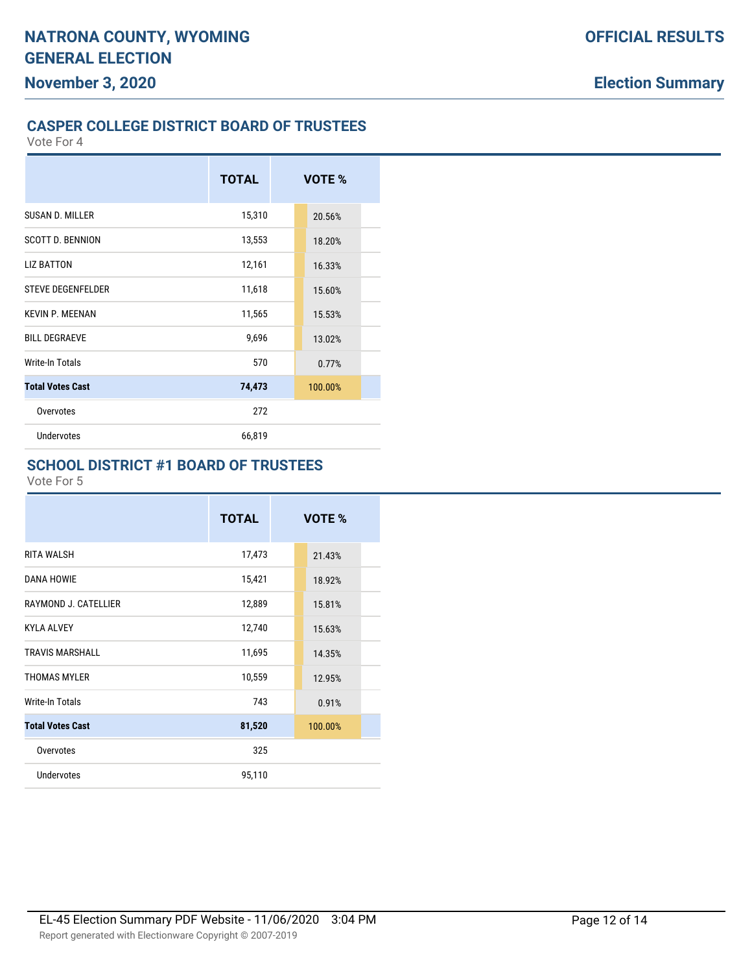# **CASPER COLLEGE DISTRICT BOARD OF TRUSTEES**

|                          | <b>TOTAL</b> | VOTE %  |  |
|--------------------------|--------------|---------|--|
| SUSAN D. MILLER          | 15,310       | 20.56%  |  |
| <b>SCOTT D. BENNION</b>  | 13,553       | 18.20%  |  |
| <b>LIZ BATTON</b>        | 12,161       | 16.33%  |  |
| <b>STEVE DEGENFELDER</b> | 11,618       | 15.60%  |  |
| <b>KEVIN P. MEENAN</b>   | 11,565       | 15.53%  |  |
| <b>BILL DEGRAEVE</b>     | 9,696        | 13.02%  |  |
| Write-In Totals          | 570          | 0.77%   |  |
| <b>Total Votes Cast</b>  | 74,473       | 100.00% |  |
| Overvotes                | 272          |         |  |
| Undervotes               | 66,819       |         |  |

## **SCHOOL DISTRICT #1 BOARD OF TRUSTEES**

|                         | <b>TOTAL</b> | VOTE %  |  |
|-------------------------|--------------|---------|--|
| <b>RITA WALSH</b>       | 17,473       | 21.43%  |  |
| <b>DANA HOWIE</b>       | 15,421       | 18.92%  |  |
| RAYMOND J. CATELLIER    | 12,889       | 15.81%  |  |
| <b>KYLA ALVEY</b>       | 12,740       | 15.63%  |  |
| <b>TRAVIS MARSHALL</b>  | 11,695       | 14.35%  |  |
| <b>THOMAS MYLER</b>     | 10,559       | 12.95%  |  |
| Write-In Totals         | 743          | 0.91%   |  |
| <b>Total Votes Cast</b> | 81,520       | 100.00% |  |
| Overvotes               | 325          |         |  |
| Undervotes              | 95,110       |         |  |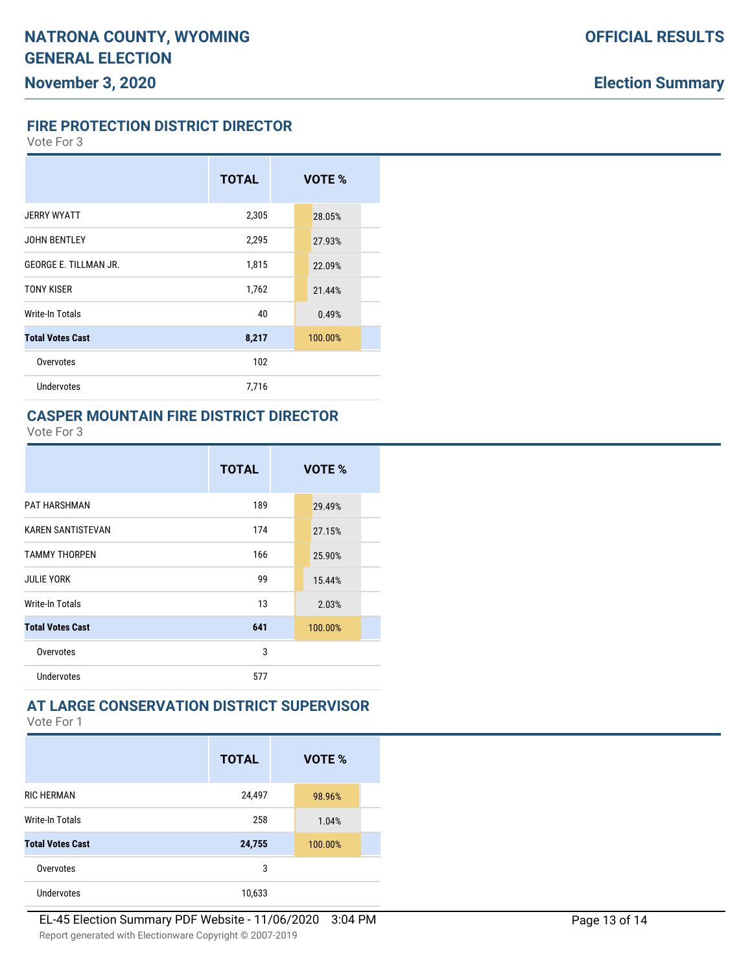#### **FIRE PROTECTION DISTRICT DIRECTOR**

Vote For 3

|                              | <b>TOTAL</b> | VOTE %  |
|------------------------------|--------------|---------|
| <b>JERRY WYATT</b>           | 2,305        | 28.05%  |
| <b>JOHN BENTLEY</b>          | 2,295        | 27.93%  |
| <b>GEORGE E. TILLMAN JR.</b> | 1,815        | 22.09%  |
| <b>TONY KISER</b>            | 1,762        | 21.44%  |
| Write-In Totals              | 40           | 0.49%   |
| <b>Total Votes Cast</b>      | 8,217        | 100.00% |
| Overvotes                    | 102          |         |
| Undervotes                   | 7,716        |         |

#### **CASPER MOUNTAIN FIRE DISTRICT DIRECTOR**

Vote For 3

|                          | <b>TOTAL</b> | VOTE %  |
|--------------------------|--------------|---------|
| <b>PAT HARSHMAN</b>      | 189          | 29.49%  |
| <b>KAREN SANTISTEVAN</b> | 174          | 27.15%  |
| <b>TAMMY THORPEN</b>     | 166          | 25.90%  |
| <b>JULIE YORK</b>        | 99           | 15.44%  |
| Write-In Totals          | 13           | 2.03%   |
| <b>Total Votes Cast</b>  | 641          | 100.00% |
| Overvotes                | 3            |         |
| Undervotes               | 577          |         |

#### **AT LARGE CONSERVATION DISTRICT SUPERVISOR**

|                         | <b>TOTAL</b> | VOTE %  |
|-------------------------|--------------|---------|
| <b>RIC HERMAN</b>       | 24,497       | 98.96%  |
| <b>Write-In Totals</b>  | 258          | 1.04%   |
| <b>Total Votes Cast</b> | 24,755       | 100.00% |
| Overvotes               | 3            |         |
| <b>Undervotes</b>       | 10,633       |         |